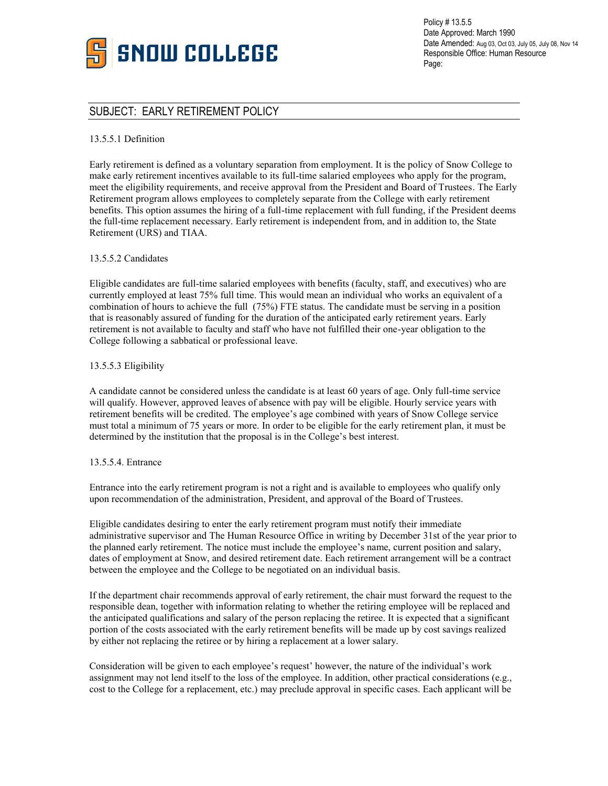

Policy # 13.5.5 Date Approved: March 1990 Date Amended: Aug 03, Oct 03, July 05, July 08, Nov 14 Responsible Office: Human Resource Page:

# SUBJECT: EARLY RETIREMENT POLICY

# 13.5.5.1 Definition

Early retirement is defined as a voluntary separation from employment. It is the policy of Snow College to make early retirement incentives available to its full-time salaried employees who apply for the program, meet the eligibility requirements, and receive approval from the President and Board of Trustees. The Early Retirement program allows employees to completely separate from the College with early retirement benefits. This option assumes the hiring of a full-time replacement with full funding, if the President deems the full-time replacement necessary. Early retirement is independent from, and in addition to, the State Retirement (URS) and TIAA.

### 13.5.5.2 Candidates

Eligible candidates are full-time salaried employees with benefits (faculty, staff, and executives) who are currently employed at least 75% full time. This would mean an individual who works an equivalent of a combination of hours to achieve the full (75%) FTE status. The candidate must be serving in a position that is reasonably assured of funding for the duration of the anticipated early retirement years. Early retirement is not available to faculty and staff who have not fulfilled their one-year obligation to the College following a sabbatical or professional leave.

# 13.5.5.3 Eligibility

A candidate cannot be considered unless the candidate is at least 60 years of age. Only full-time service will qualify. However, approved leaves of absence with pay will be eligible. Hourly service years with retirement benefits will be credited. The employee's age combined with years of Snow College service must total a minimum of 75 years or more. In order to be eligible for the early retirement plan, it must be determined by the institution that the proposal is in the College's best interest.

### 13.5.5.4. Entrance

Entrance into the early retirement program is not a right and is available to employees who qualify only upon recommendation of the administration, President, and approval of the Board of Trustees.

Eligible candidates desiring to enter the early retirement program must notify their immediate administrative supervisor and The Human Resource Office in writing by December 31st of the year prior to the planned early retirement. The notice must include the employee's name, current position and salary, dates of employment at Snow, and desired retirement date. Each retirement arrangement will be a contract between the employee and the College to be negotiated on an individual basis.

If the department chair recommends approval of early retirement, the chair must forward the request to the responsible dean, together with information relating to whether the retiring employee will be replaced and the anticipated qualifications and salary of the person replacing the retiree. It is expected that a significant portion of the costs associated with the early retirement benefits will be made up by cost savings realized by either not replacing the retiree or by hiring a replacement at a lower salary.

Consideration will be given to each employee's request' however, the nature of the individual's work assignment may not lend itself to the loss of the employee. In addition, other practical considerations (e.g., cost to the College for a replacement, etc.) may preclude approval in specific cases. Each applicant will be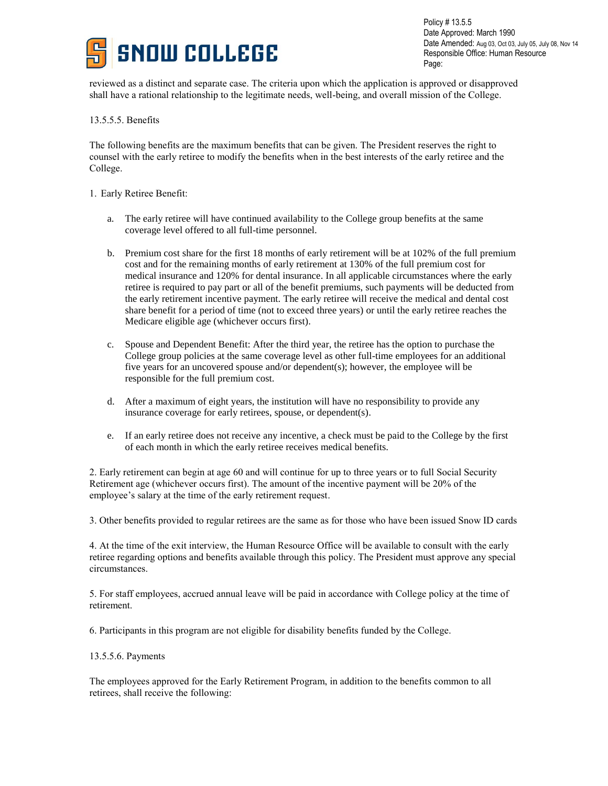

Policy # 13.5.5 Date Approved: March 1990 Date Amended: Aug 03, Oct 03, July 05, July 08, Nov 14 Responsible Office: Human Resource Page:

reviewed as a distinct and separate case. The criteria upon which the application is approved or disapproved shall have a rational relationship to the legitimate needs, well-being, and overall mission of the College.

# 13.5.5.5. Benefits

The following benefits are the maximum benefits that can be given. The President reserves the right to counsel with the early retiree to modify the benefits when in the best interests of the early retiree and the College.

- 1. Early Retiree Benefit:
	- a. The early retiree will have continued availability to the College group benefits at the same coverage level offered to all full-time personnel.
	- b. Premium cost share for the first 18 months of early retirement will be at 102% of the full premium cost and for the remaining months of early retirement at 130% of the full premium cost for medical insurance and 120% for dental insurance. In all applicable circumstances where the early retiree is required to pay part or all of the benefit premiums, such payments will be deducted from the early retirement incentive payment. The early retiree will receive the medical and dental cost share benefit for a period of time (not to exceed three years) or until the early retiree reaches the Medicare eligible age (whichever occurs first).
	- c. Spouse and Dependent Benefit: After the third year, the retiree has the option to purchase the College group policies at the same coverage level as other full-time employees for an additional five years for an uncovered spouse and/or dependent(s); however, the employee will be responsible for the full premium cost.
	- d. After a maximum of eight years, the institution will have no responsibility to provide any insurance coverage for early retirees, spouse, or dependent(s).
	- e. If an early retiree does not receive any incentive, a check must be paid to the College by the first of each month in which the early retiree receives medical benefits.

2. Early retirement can begin at age 60 and will continue for up to three years or to full Social Security Retirement age (whichever occurs first). The amount of the incentive payment will be 20% of the employee's salary at the time of the early retirement request.

3. Other benefits provided to regular retirees are the same as for those who have been issued Snow ID cards

4. At the time of the exit interview, the Human Resource Office will be available to consult with the early retiree regarding options and benefits available through this policy. The President must approve any special circumstances.

5. For staff employees, accrued annual leave will be paid in accordance with College policy at the time of retirement.

6. Participants in this program are not eligible for disability benefits funded by the College.

### 13.5.5.6. Payments

The employees approved for the Early Retirement Program, in addition to the benefits common to all retirees, shall receive the following: